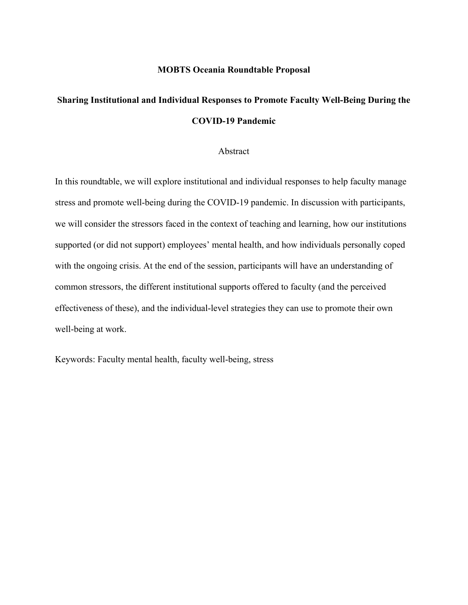#### **MOBTS Oceania Roundtable Proposal**

# **Sharing Institutional and Individual Responses to Promote Faculty Well-Being During the COVID-19 Pandemic**

#### Abstract

In this roundtable, we will explore institutional and individual responses to help faculty manage stress and promote well-being during the COVID-19 pandemic. In discussion with participants, we will consider the stressors faced in the context of teaching and learning, how our institutions supported (or did not support) employees' mental health, and how individuals personally coped with the ongoing crisis. At the end of the session, participants will have an understanding of common stressors, the different institutional supports offered to faculty (and the perceived effectiveness of these), and the individual-level strategies they can use to promote their own well-being at work.

Keywords: Faculty mental health, faculty well-being, stress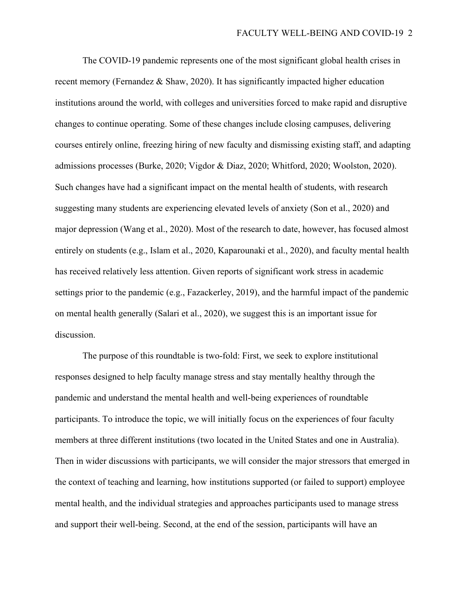The COVID-19 pandemic represents one of the most significant global health crises in recent memory (Fernandez & Shaw, 2020). It has significantly impacted higher education institutions around the world, with colleges and universities forced to make rapid and disruptive changes to continue operating. Some of these changes include closing campuses, delivering courses entirely online, freezing hiring of new faculty and dismissing existing staff, and adapting admissions processes (Burke, 2020; Vigdor & Diaz, 2020; Whitford, 2020; Woolston, 2020). Such changes have had a significant impact on the mental health of students, with research suggesting many students are experiencing elevated levels of anxiety (Son et al., 2020) and major depression (Wang et al., 2020). Most of the research to date, however, has focused almost entirely on students (e.g., Islam et al., 2020, Kaparounaki et al., 2020), and faculty mental health has received relatively less attention. Given reports of significant work stress in academic settings prior to the pandemic (e.g., Fazackerley, 2019), and the harmful impact of the pandemic on mental health generally (Salari et al., 2020), we suggest this is an important issue for discussion.

The purpose of this roundtable is two-fold: First, we seek to explore institutional responses designed to help faculty manage stress and stay mentally healthy through the pandemic and understand the mental health and well-being experiences of roundtable participants. To introduce the topic, we will initially focus on the experiences of four faculty members at three different institutions (two located in the United States and one in Australia). Then in wider discussions with participants, we will consider the major stressors that emerged in the context of teaching and learning, how institutions supported (or failed to support) employee mental health, and the individual strategies and approaches participants used to manage stress and support their well-being. Second, at the end of the session, participants will have an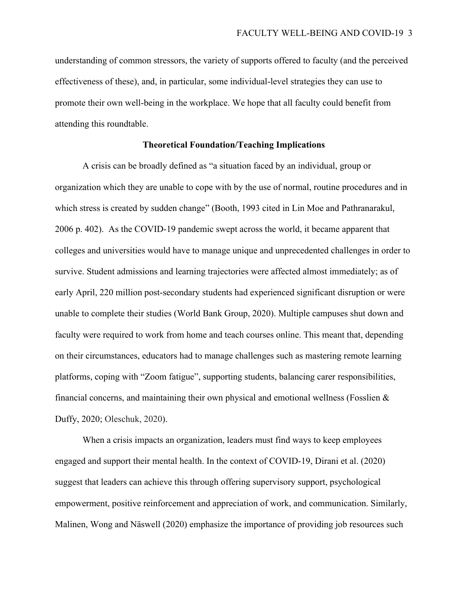understanding of common stressors, the variety of supports offered to faculty (and the perceived effectiveness of these), and, in particular, some individual-level strategies they can use to promote their own well-being in the workplace. We hope that all faculty could benefit from attending this roundtable.

#### **Theoretical Foundation/Teaching Implications**

A crisis can be broadly defined as "a situation faced by an individual, group or organization which they are unable to cope with by the use of normal, routine procedures and in which stress is created by sudden change" (Booth, 1993 cited in Lin Moe and Pathranarakul, 2006 p. 402). As the COVID-19 pandemic swept across the world, it became apparent that colleges and universities would have to manage unique and unprecedented challenges in order to survive. Student admissions and learning trajectories were affected almost immediately; as of early April, 220 million post-secondary students had experienced significant disruption or were unable to complete their studies (World Bank Group, 2020). Multiple campuses shut down and faculty were required to work from home and teach courses online. This meant that, depending on their circumstances, educators had to manage challenges such as mastering remote learning platforms, coping with "Zoom fatigue", supporting students, balancing carer responsibilities, financial concerns, and maintaining their own physical and emotional wellness (Fosslien  $\&$ Duffy, 2020; Oleschuk, 2020).

When a crisis impacts an organization, leaders must find ways to keep employees engaged and support their mental health. In the context of COVID-19, Dirani et al. (2020) suggest that leaders can achieve this through offering supervisory support, psychological empowerment, positive reinforcement and appreciation of work, and communication. Similarly, Malinen, Wong and Näswell (2020) emphasize the importance of providing job resources such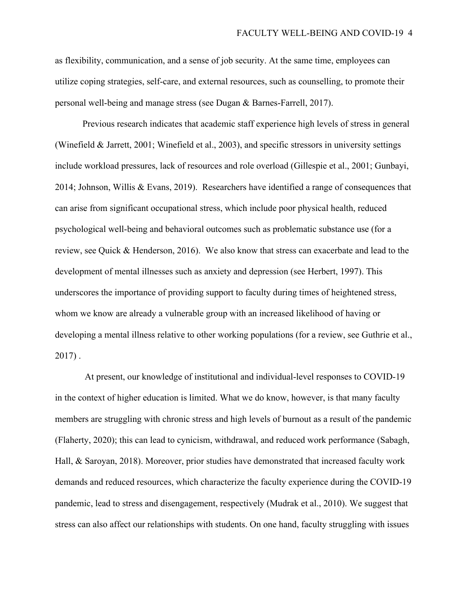as flexibility, communication, and a sense of job security. At the same time, employees can utilize coping strategies, self-care, and external resources, such as counselling, to promote their personal well-being and manage stress (see Dugan & Barnes-Farrell, 2017).

Previous research indicates that academic staff experience high levels of stress in general (Winefield & Jarrett, 2001; Winefield et al., 2003), and specific stressors in university settings include workload pressures, lack of resources and role overload (Gillespie et al., 2001; Gunbayi, 2014; Johnson, Willis & Evans, 2019). Researchers have identified a range of consequences that can arise from significant occupational stress, which include poor physical health, reduced psychological well-being and behavioral outcomes such as problematic substance use (for a review, see Quick & Henderson, 2016). We also know that stress can exacerbate and lead to the development of mental illnesses such as anxiety and depression (see Herbert, 1997). This underscores the importance of providing support to faculty during times of heightened stress, whom we know are already a vulnerable group with an increased likelihood of having or developing a mental illness relative to other working populations (for a review, see Guthrie et al., 2017) .

At present, our knowledge of institutional and individual-level responses to COVID-19 in the context of higher education is limited. What we do know, however, is that many faculty members are struggling with chronic stress and high levels of burnout as a result of the pandemic (Flaherty, 2020); this can lead to cynicism, withdrawal, and reduced work performance (Sabagh, Hall, & Saroyan, 2018). Moreover, prior studies have demonstrated that increased faculty work demands and reduced resources, which characterize the faculty experience during the COVID-19 pandemic, lead to stress and disengagement, respectively (Mudrak et al., 2010). We suggest that stress can also affect our relationships with students. On one hand, faculty struggling with issues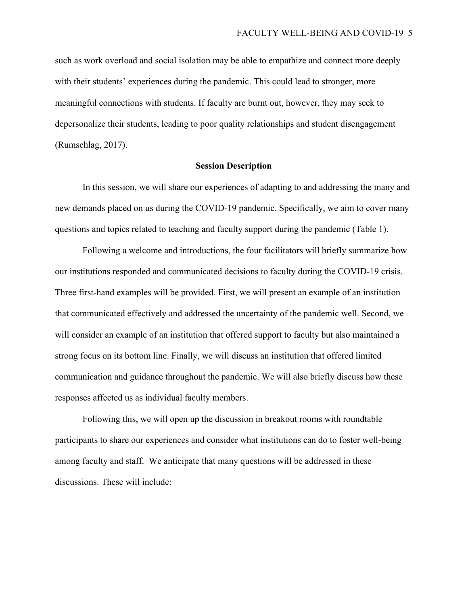such as work overload and social isolation may be able to empathize and connect more deeply with their students' experiences during the pandemic. This could lead to stronger, more meaningful connections with students. If faculty are burnt out, however, they may seek to depersonalize their students, leading to poor quality relationships and student disengagement (Rumschlag, 2017).

#### **Session Description**

In this session, we will share our experiences of adapting to and addressing the many and new demands placed on us during the COVID-19 pandemic. Specifically, we aim to cover many questions and topics related to teaching and faculty support during the pandemic (Table 1).

Following a welcome and introductions, the four facilitators will briefly summarize how our institutions responded and communicated decisions to faculty during the COVID-19 crisis. Three first-hand examples will be provided. First, we will present an example of an institution that communicated effectively and addressed the uncertainty of the pandemic well. Second, we will consider an example of an institution that offered support to faculty but also maintained a strong focus on its bottom line. Finally, we will discuss an institution that offered limited communication and guidance throughout the pandemic. We will also briefly discuss how these responses affected us as individual faculty members.

Following this, we will open up the discussion in breakout rooms with roundtable participants to share our experiences and consider what institutions can do to foster well-being among faculty and staff. We anticipate that many questions will be addressed in these discussions. These will include: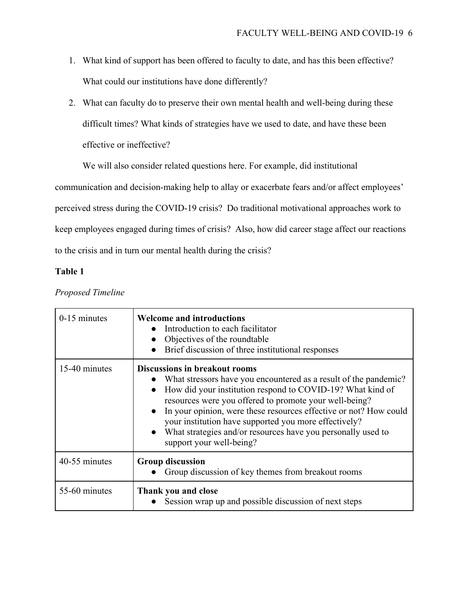- 1. What kind of support has been offered to faculty to date, and has this been effective? What could our institutions have done differently?
- 2. What can faculty do to preserve their own mental health and well-being during these difficult times? What kinds of strategies have we used to date, and have these been effective or ineffective?

We will also consider related questions here. For example, did institutional

communication and decision-making help to allay or exacerbate fears and/or affect employees'

perceived stress during the COVID-19 crisis? Do traditional motivational approaches work to

keep employees engaged during times of crisis? Also, how did career stage affect our reactions

to the crisis and in turn our mental health during the crisis?

# **Table 1**

| $0-15$ minutes | <b>Welcome and introductions</b><br>Introduction to each facilitator<br>Objectives of the roundtable<br>Brief discussion of three institutional responses                                                                                                                                                                                                                                                                                                               |
|----------------|-------------------------------------------------------------------------------------------------------------------------------------------------------------------------------------------------------------------------------------------------------------------------------------------------------------------------------------------------------------------------------------------------------------------------------------------------------------------------|
| 15-40 minutes  | <b>Discussions in breakout rooms</b><br>What stressors have you encountered as a result of the pandemic?<br>How did your institution respond to COVID-19? What kind of<br>resources were you offered to promote your well-being?<br>In your opinion, were these resources effective or not? How could<br>your institution have supported you more effectively?<br>What strategies and/or resources have you personally used to<br>$\bullet$<br>support your well-being? |
| 40-55 minutes  | <b>Group discussion</b><br>Group discussion of key themes from breakout rooms                                                                                                                                                                                                                                                                                                                                                                                           |
| 55-60 minutes  | Thank you and close<br>Session wrap up and possible discussion of next steps                                                                                                                                                                                                                                                                                                                                                                                            |

# *Proposed Timeline*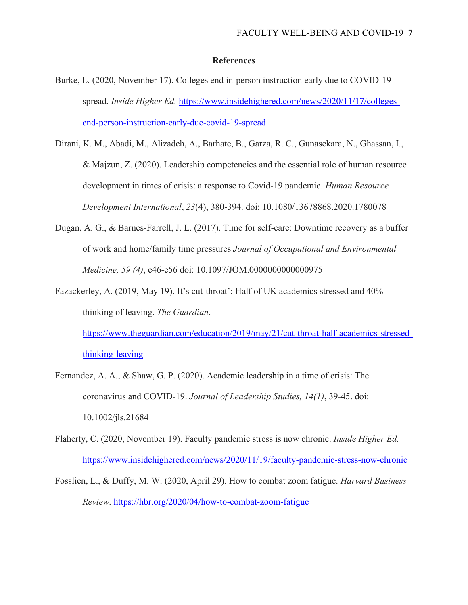# **References**

- Burke, L. (2020, November 17). Colleges end in-person instruction early due to COVID-19 spread. *Inside Higher Ed.* [https://www.insidehighered.com/news/2020/11/17/colleges](https://www.insidehighered.com/news/2020/11/17/colleges-end-person-instruction-early-due-covid-19-spread)[end-person-instruction-early-due-covid-19-spread](https://www.insidehighered.com/news/2020/11/17/colleges-end-person-instruction-early-due-covid-19-spread)
- Dirani, K. M., Abadi, M., Alizadeh, A., Barhate, B., Garza, R. C., Gunasekara, N., Ghassan, I., & Majzun, Z. (2020). Leadership competencies and the essential role of human resource development in times of crisis: a response to Covid-19 pandemic. *Human Resource Development International*, *23*(4), 380-394. doi: 10.1080/13678868.2020.1780078
- Dugan, A. G., & Barnes-Farrell, J. L. (2017). Time for self-care: Downtime recovery as a buffer of work and home/family time pressures *Journal of Occupational and Environmental Medicine, 59 (4)*, e46-e56 doi: 10.1097/JOM.0000000000000975
- Fazackerley, A. (2019, May 19). It's cut-throat': Half of UK academics stressed and 40% thinking of leaving. *The Guardian*.

[https://www.theguardian.com/education/2019/may/21/cut-throat-half-academics-stressed](https://www.theguardian.com/education/2019/may/21/cut-throat-half-academics-stressed-thinking-leaving)[thinking-leaving](https://www.theguardian.com/education/2019/may/21/cut-throat-half-academics-stressed-thinking-leaving)

- Fernandez, A. A., & Shaw, G. P. (2020). Academic leadership in a time of crisis: The coronavirus and COVID‐19. *Journal of Leadership Studies, 14(1)*, 39-45. doi: 10.1002/jls.21684
- Flaherty, C. (2020, November 19). Faculty pandemic stress is now chronic. *Inside Higher Ed.* <https://www.insidehighered.com/news/2020/11/19/faculty-pandemic-stress-now-chronic>
- Fosslien, L., & Duffy, M. W. (2020, April 29). How to combat zoom fatigue. *Harvard Business Review*. <https://hbr.org/2020/04/how-to-combat-zoom-fatigue>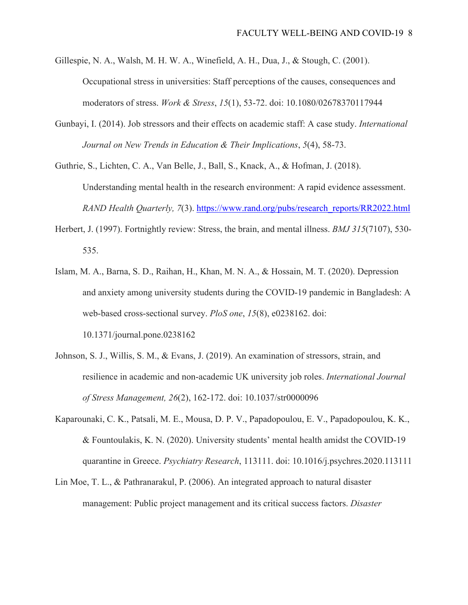- Gillespie, N. A., Walsh, M. H. W. A., Winefield, A. H., Dua, J., & Stough, C. (2001). Occupational stress in universities: Staff perceptions of the causes, consequences and moderators of stress. *Work & Stress*, *15*(1), 53-72. doi: 10.1080/02678370117944
- Gunbayi, I. (2014). Job stressors and their effects on academic staff: A case study. *International Journal on New Trends in Education & Their Implications*, *5*(4), 58-73.

Guthrie, S., Lichten, C. A., Van Belle, J., Ball, S., Knack, A., & Hofman, J. (2018). Understanding mental health in the research environment: A rapid evidence assessment. *RAND Health Quarterly, 7*(3). [https://www.rand.org/pubs/research\\_reports/RR2022.html](https://www.rand.org/pubs/research_reports/RR2022.html)

- Herbert, J. (1997). Fortnightly review: Stress, the brain, and mental illness. *BMJ 315*(7107), 530- 535.
- Islam, M. A., Barna, S. D., Raihan, H., Khan, M. N. A., & Hossain, M. T. (2020). Depression and anxiety among university students during the COVID-19 pandemic in Bangladesh: A web-based cross-sectional survey. *PloS one*, *15*(8), e0238162. doi: 10.1371/journal.pone.0238162
- Johnson, S. J., Willis, S. M., & Evans, J. (2019). An examination of stressors, strain, and resilience in academic and non-academic UK university job roles. *International Journal of Stress Management, 26*(2), 162-172. doi: 10.1037/str0000096
- Kaparounaki, C. K., Patsali, M. E., Mousa, D. P. V., Papadopoulou, E. V., Papadopoulou, K. K., & Fountoulakis, K. N. (2020). University students' mental health amidst the COVID-19 quarantine in Greece. *Psychiatry Research*, 113111. doi: 10.1016/j.psychres.2020.113111
- Lin Moe, T. L., & Pathranarakul, P. (2006). An integrated approach to natural disaster management: Public project management and its critical success factors. *Disaster*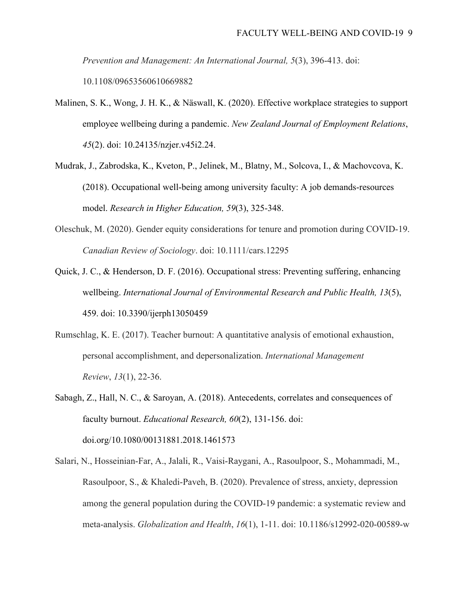*Prevention and Management: An International Journal, 5*(3), 396-413. doi: 10.1108/09653560610669882

- Malinen, S. K., Wong, J. H. K., & Näswall, K. (2020). Effective workplace strategies to support employee wellbeing during a pandemic. *New Zealand Journal of Employment Relations*, *45*(2). doi: 10.24135/nzjer.v45i2.24.
- Mudrak, J., Zabrodska, K., Kveton, P., Jelinek, M., Blatny, M., Solcova, I., & Machovcova, K. (2018). Occupational well-being among university faculty: A job demands-resources model. *Research in Higher Education, 59*(3), 325-348.
- Oleschuk, M. (2020). Gender equity considerations for tenure and promotion during COVID‐19. *Canadian Review of Sociology*. doi: 10.1111/cars.12295
- Quick, J. C., & Henderson, D. F. (2016). Occupational stress: Preventing suffering, enhancing wellbeing. *International Journal of Environmental Research and Public Health, 13*(5), 459. doi: 10.3390/ijerph13050459
- Rumschlag, K. E. (2017). Teacher burnout: A quantitative analysis of emotional exhaustion, personal accomplishment, and depersonalization. *International Management Review*, *13*(1), 22-36.
- Sabagh, Z., Hall, N. C., & Saroyan, A. (2018). Antecedents, correlates and consequences of faculty burnout. *Educational Research, 60*(2), 131-156. doi: doi.org/10.1080/00131881.2018.1461573
- Salari, N., Hosseinian-Far, A., Jalali, R., Vaisi-Raygani, A., Rasoulpoor, S., Mohammadi, M., Rasoulpoor, S., & Khaledi-Paveh, B. (2020). Prevalence of stress, anxiety, depression among the general population during the COVID-19 pandemic: a systematic review and meta-analysis. *Globalization and Health*, *16*(1), 1-11. doi: 10.1186/s12992-020-00589-w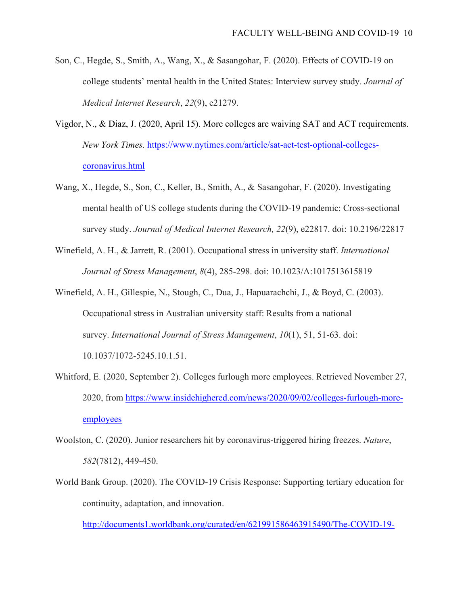- Son, C., Hegde, S., Smith, A., Wang, X., & Sasangohar, F. (2020). Effects of COVID-19 on college students' mental health in the United States: Interview survey study. *Journal of Medical Internet Research*, *22*(9), e21279.
- Vigdor, N., & Diaz, J. (2020, April 15). More colleges are waiving SAT and ACT requirements. *New York Times.* [https://www.nytimes.com/article/sat-act-test-optional-colleges](https://www.nytimes.com/article/sat-act-test-optional-colleges-coronavirus.html)[coronavirus.html](https://www.nytimes.com/article/sat-act-test-optional-colleges-coronavirus.html)
- Wang, X., Hegde, S., Son, C., Keller, B., Smith, A., & Sasangohar, F. (2020). Investigating mental health of US college students during the COVID-19 pandemic: Cross-sectional survey study. *Journal of Medical Internet Research, 22*(9), e22817. doi: 10.2196/22817
- Winefield, A. H., & Jarrett, R. (2001). Occupational stress in university staff. *International Journal of Stress Management*, *8*(4), 285-298. doi: 10.1023/A:1017513615819
- Winefield, A. H., Gillespie, N., Stough, C., Dua, J., Hapuarachchi, J., & Boyd, C. (2003). Occupational stress in Australian university staff: Results from a national survey. *International Journal of Stress Management*, *10*(1), 51, 51-63. doi: 10.1037/1072-5245.10.1.51.
- Whitford, E. (2020, September 2). Colleges furlough more employees. Retrieved November 27, 2020, from [https://www.insidehighered.com/news/2020/09/02/colleges-furlough-more](https://www.insidehighered.com/news/2020/09/02/colleges-furlough-more-employees)[employees](https://www.insidehighered.com/news/2020/09/02/colleges-furlough-more-employees)
- Woolston, C. (2020). Junior researchers hit by coronavirus-triggered hiring freezes. *Nature*, *582*(7812), 449-450.
- World Bank Group. (2020). The COVID-19 Crisis Response: Supporting tertiary education for continuity, adaptation, and innovation.

[http://documents1.worldbank.org/curated/en/621991586463915490/The-COVID-19-](http://documents1.worldbank.org/curated/en/621991586463915490/The-COVID-19-Crisis-Response-Supporting-Tertiary-Education-for-Continuity-Adaptation-and-Innovation.pdf)